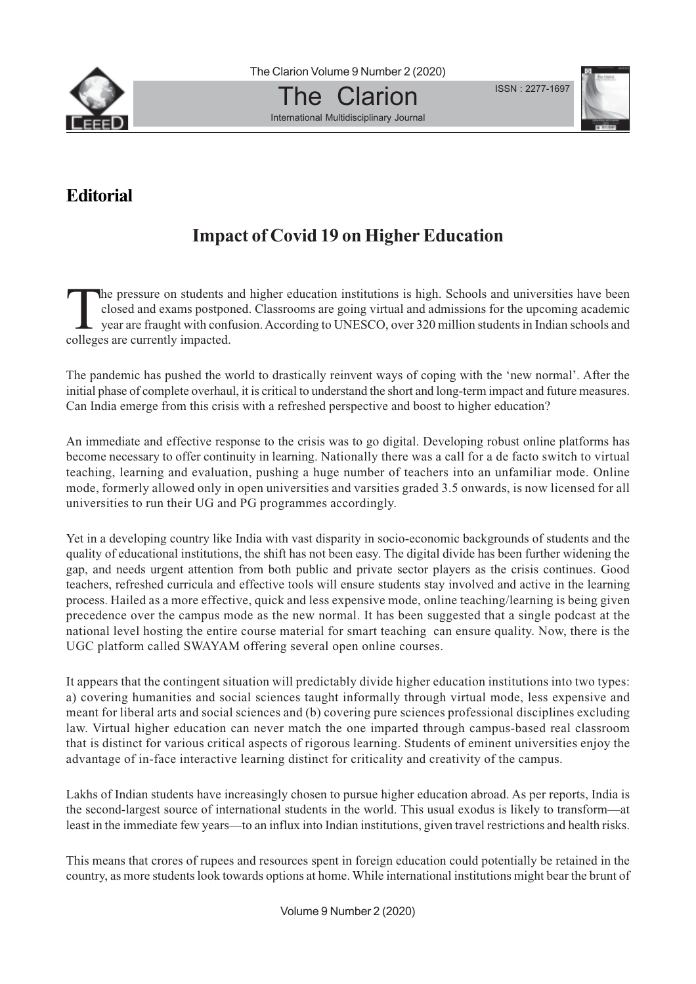

International Multidisciplinary Journal

`he

ISSN : 2277-1697



## **Editorial**

## **Impact of Covid 19 on Higher Education**

The pressure on students and higher education institutions is high. Schools and universities have been closed and exams postponed. Classrooms are going virtual and admissions for the upcoming academic year are fraught with closed and exams postponed. Classrooms are going virtual and admissions for the upcoming academic year are fraught with confusion. According to UNESCO, over 320 million students in Indian schools and colleges are currently impacted.

The pandemic has pushed the world to drastically reinvent ways of coping with the 'new normal'. After the initial phase of complete overhaul, it is critical to understand the short and long-term impact and future measures. Can India emerge from this crisis with a refreshed perspective and boost to higher education?

An immediate and effective response to the crisis was to go digital. Developing robust online platforms has become necessary to offer continuity in learning. Nationally there was a call for a de facto switch to virtual teaching, learning and evaluation, pushing a huge number of teachers into an unfamiliar mode. Online mode, formerly allowed only in open universities and varsities graded 3.5 onwards, is now licensed for all universities to run their UG and PG programmes accordingly.

Yet in a developing country like India with vast disparity in socio-economic backgrounds of students and the quality of educational institutions, the shift has not been easy. The digital divide has been further widening the gap, and needs urgent attention from both public and private sector players as the crisis continues. Good teachers, refreshed curricula and effective tools will ensure students stay involved and active in the learning process. Hailed as a more effective, quick and less expensive mode, online teaching/learning is being given precedence over the campus mode as the new normal. It has been suggested that a single podcast at the national level hosting the entire course material for smart teaching can ensure quality. Now, there is the UGC platform called SWAYAM offering several open online courses.

It appears that the contingent situation will predictably divide higher education institutions into two types: a) covering humanities and social sciences taught informally through virtual mode, less expensive and meant for liberal arts and social sciences and (b) covering pure sciences professional disciplines excluding law. Virtual higher education can never match the one imparted through campus-based real classroom that is distinct for various critical aspects of rigorous learning. Students of eminent universities enjoy the advantage of in-face interactive learning distinct for criticality and creativity of the campus.

Lakhs of Indian students have increasingly chosen to pursue higher education abroad. As per reports, India is the second-largest source of international students in the world. This usual exodus is likely to transform—at least in the immediate few years—to an influx into Indian institutions, given travel restrictions and health risks.

This means that crores of rupees and resources spent in foreign education could potentially be retained in the country, as more students look towards options at home. While international institutions might bear the brunt of